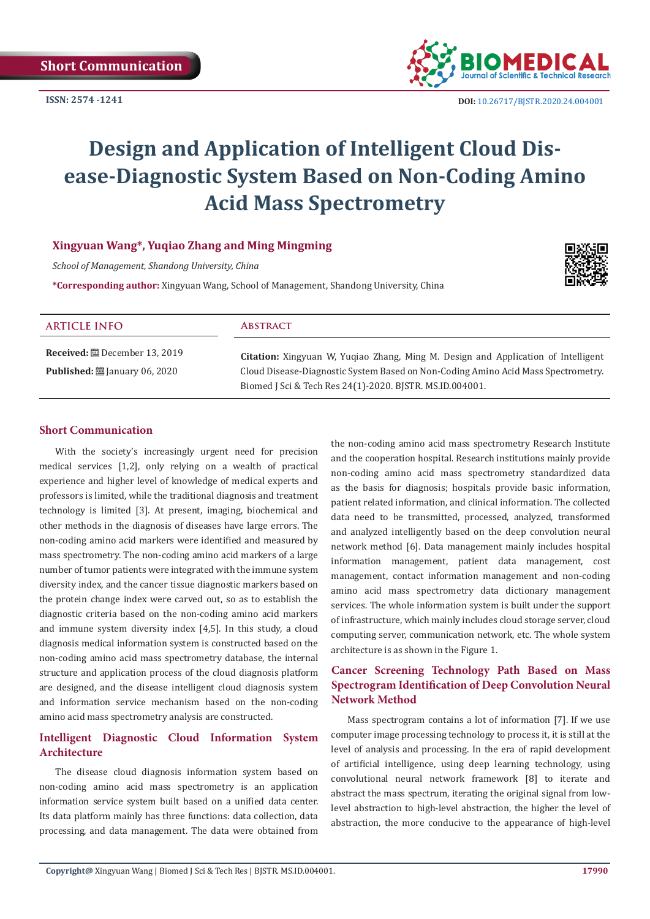

 **DOI:** [10.26717/BJSTR.2020.24.004001](http://dx.doi.org/10.26717/BJSTR.2020.24.004001)

# **Design and Application of Intelligent Cloud Disease-Diagnostic System Based on Non-Coding Amino Acid Mass Spectrometry**

# **Xingyuan Wang\*, Yuqiao Zhang and Ming Mingming**

*School of Management, Shandong University, China*

**\*Corresponding author:** Xingyuan Wang, School of Management, Shandong University, China



| <b>ARTICLE INFO</b>                                                                                | <b>ABSTRACT</b>                                                                                                                                                                                                                           |
|----------------------------------------------------------------------------------------------------|-------------------------------------------------------------------------------------------------------------------------------------------------------------------------------------------------------------------------------------------|
| <b>Received:</b> $\mathbf{B}$ December 13, 2019<br><b>Published:</b> $\ddot{\Xi}$ January 06, 2020 | <b>Citation:</b> Xingyuan W, Yuqiao Zhang, Ming M. Design and Application of Intelligent<br>Cloud Disease-Diagnostic System Based on Non-Coding Amino Acid Mass Spectrometry.<br>Biomed J Sci & Tech Res 24(1)-2020. BJSTR. MS.ID.004001. |

#### **Short Communication**

With the society's increasingly urgent need for precision medical services [1,2], only relying on a wealth of practical experience and higher level of knowledge of medical experts and professors is limited, while the traditional diagnosis and treatment technology is limited [3]. At present, imaging, biochemical and other methods in the diagnosis of diseases have large errors. The non-coding amino acid markers were identified and measured by mass spectrometry. The non-coding amino acid markers of a large number of tumor patients were integrated with the immune system diversity index, and the cancer tissue diagnostic markers based on the protein change index were carved out, so as to establish the diagnostic criteria based on the non-coding amino acid markers and immune system diversity index [4,5]. In this study, a cloud diagnosis medical information system is constructed based on the non-coding amino acid mass spectrometry database, the internal structure and application process of the cloud diagnosis platform are designed, and the disease intelligent cloud diagnosis system and information service mechanism based on the non-coding amino acid mass spectrometry analysis are constructed.

### **Intelligent Diagnostic Cloud Information System Architecture**

The disease cloud diagnosis information system based on non-coding amino acid mass spectrometry is an application information service system built based on a unified data center. Its data platform mainly has three functions: data collection, data processing, and data management. The data were obtained from the non-coding amino acid mass spectrometry Research Institute and the cooperation hospital. Research institutions mainly provide non-coding amino acid mass spectrometry standardized data as the basis for diagnosis; hospitals provide basic information, patient related information, and clinical information. The collected data need to be transmitted, processed, analyzed, transformed and analyzed intelligently based on the deep convolution neural network method [6]. Data management mainly includes hospital information management, patient data management, cost management, contact information management and non-coding amino acid mass spectrometry data dictionary management services. The whole information system is built under the support of infrastructure, which mainly includes cloud storage server, cloud computing server, communication network, etc. The whole system architecture is as shown in the Figure 1.

# **Cancer Screening Technology Path Based on Mass Spectrogram Identification of Deep Convolution Neural Network Method**

Mass spectrogram contains a lot of information [7]. If we use computer image processing technology to process it, it is still at the level of analysis and processing. In the era of rapid development of artificial intelligence, using deep learning technology, using convolutional neural network framework [8] to iterate and abstract the mass spectrum, iterating the original signal from lowlevel abstraction to high-level abstraction, the higher the level of abstraction, the more conducive to the appearance of high-level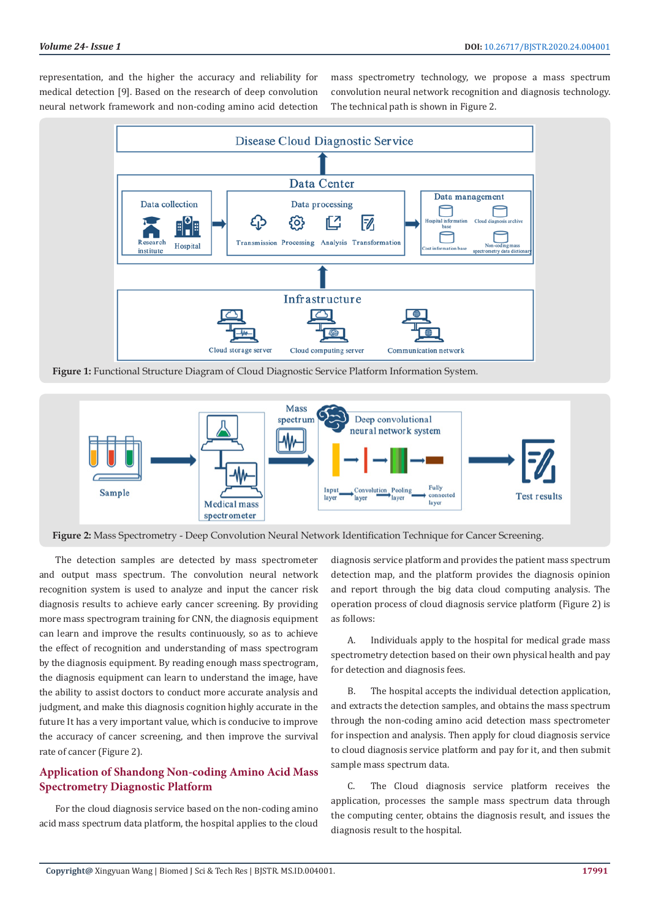representation, and the higher the accuracy and reliability for medical detection [9]. Based on the research of deep convolution neural network framework and non-coding amino acid detection mass spectrometry technology, we propose a mass spectrum convolution neural network recognition and diagnosis technology. The technical path is shown in Figure 2.



**Figure 1:** Functional Structure Diagram of Cloud Diagnostic Service Platform Information System.



**Figure 2:** Mass Spectrometry - Deep Convolution Neural Network Identification Technique for Cancer Screening.

The detection samples are detected by mass spectrometer and output mass spectrum. The convolution neural network recognition system is used to analyze and input the cancer risk diagnosis results to achieve early cancer screening. By providing more mass spectrogram training for CNN, the diagnosis equipment can learn and improve the results continuously, so as to achieve the effect of recognition and understanding of mass spectrogram by the diagnosis equipment. By reading enough mass spectrogram, the diagnosis equipment can learn to understand the image, have the ability to assist doctors to conduct more accurate analysis and judgment, and make this diagnosis cognition highly accurate in the future It has a very important value, which is conducive to improve the accuracy of cancer screening, and then improve the survival rate of cancer (Figure 2).

# **Application of Shandong Non-coding Amino Acid Mass Spectrometry Diagnostic Platform**

For the cloud diagnosis service based on the non-coding amino acid mass spectrum data platform, the hospital applies to the cloud diagnosis service platform and provides the patient mass spectrum detection map, and the platform provides the diagnosis opinion and report through the big data cloud computing analysis. The operation process of cloud diagnosis service platform (Figure 2) is as follows:

A. Individuals apply to the hospital for medical grade mass spectrometry detection based on their own physical health and pay for detection and diagnosis fees.

B. The hospital accepts the individual detection application, and extracts the detection samples, and obtains the mass spectrum through the non-coding amino acid detection mass spectrometer for inspection and analysis. Then apply for cloud diagnosis service to cloud diagnosis service platform and pay for it, and then submit sample mass spectrum data.

C. The Cloud diagnosis service platform receives the application, processes the sample mass spectrum data through the computing center, obtains the diagnosis result, and issues the diagnosis result to the hospital.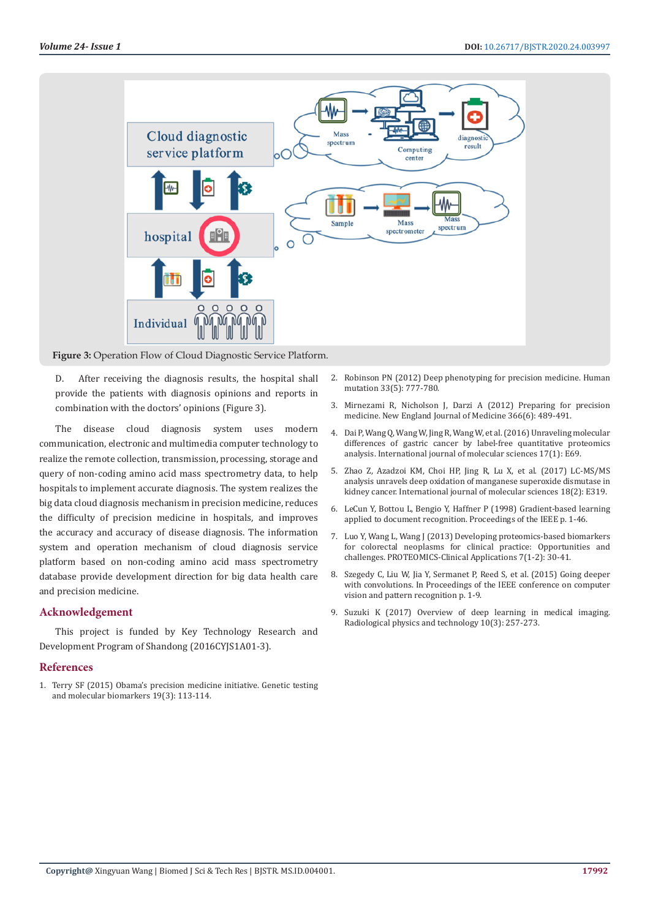

**Figure 3:** Operation Flow of Cloud Diagnostic Service Platform.

D. After receiving the diagnosis results, the hospital shall provide the patients with diagnosis opinions and reports in combination with the doctors' opinions (Figure 3).

The disease cloud diagnosis system uses modern communication, electronic and multimedia computer technology to realize the remote collection, transmission, processing, storage and query of non-coding amino acid mass spectrometry data, to help hospitals to implement accurate diagnosis. The system realizes the big data cloud diagnosis mechanism in precision medicine, reduces the difficulty of precision medicine in hospitals, and improves the accuracy and accuracy of disease diagnosis. The information system and operation mechanism of cloud diagnosis service platform based on non-coding amino acid mass spectrometry database provide development direction for big data health care and precision medicine.

#### **Acknowledgement**

This project is funded by Key Technology Research and Development Program of Shandong (2016CYJS1A01-3).

#### **References**

1. [Terry SF \(2015\) Obama's precision medicine initiative. Genetic testing](https://www.ncbi.nlm.nih.gov/pmc/articles/PMC4361161/)  [and molecular biomarkers 19\(3\): 113-114.](https://www.ncbi.nlm.nih.gov/pmc/articles/PMC4361161/)

- 2. [Robinson PN \(2012\) Deep phenotyping for precision medicine. Human](https://www.ncbi.nlm.nih.gov/pubmed/22504886) [mutation 33\(5\): 777-780.](https://www.ncbi.nlm.nih.gov/pubmed/22504886)
- 3. [Mirnezami R, Nicholson J, Darzi A \(2012\) Preparing for precision](https://www.nejm.org/doi/full/10.1056/NEJMp1114866) [medicine. New England Journal of Medicine 366\(6\): 489-491.](https://www.nejm.org/doi/full/10.1056/NEJMp1114866)
- 4. [Dai P, Wang Q, Wang W, Jing R, Wang W, et al. \(2016\) Unraveling molecular](https://www.ncbi.nlm.nih.gov/pubmed/26805816) [differences of gastric cancer by label-free quantitative proteomics](https://www.ncbi.nlm.nih.gov/pubmed/26805816) [analysis. International journal of molecular sciences 17\(1\): E69.](https://www.ncbi.nlm.nih.gov/pubmed/26805816)
- 5. [Zhao Z, Azadzoi KM, Choi HP, Jing R, Lu X, et al. \(2017\) LC-MS/MS](https://www.ncbi.nlm.nih.gov/pubmed/28165386) [analysis unravels deep oxidation of manganese superoxide dismutase in](https://www.ncbi.nlm.nih.gov/pubmed/28165386) [kidney cancer. International journal of molecular sciences 18\(2\): E319.](https://www.ncbi.nlm.nih.gov/pubmed/28165386)
- 6. [LeCun Y, Bottou L, Bengio Y, Haffner P \(1998\) Gradient-based learning](http://vision.stanford.edu/cs598_spring07/papers/Lecun98.pdf) [applied to document recognition. Proceedings of the IEEE p. 1-46.](http://vision.stanford.edu/cs598_spring07/papers/Lecun98.pdf)
- 7. [Luo Y, Wang L, Wang J \(2013\) Developing proteomics-based biomarkers](https://www.ncbi.nlm.nih.gov/pubmed/23255431) [for colorectal neoplasms for clinical practice: Opportunities and](https://www.ncbi.nlm.nih.gov/pubmed/23255431) [challenges. PROTEOMICS-Clinical Applications 7\(1-2\): 30-41.](https://www.ncbi.nlm.nih.gov/pubmed/23255431)
- 8. Szegedy C, Liu W, Jia Y, Sermanet P, Reed S, et al. (2015) Going deeper with convolutions. In Proceedings of the IEEE conference on computer vision and pattern recognition p. 1-9.
- 9. [Suzuki K \(2017\) Overview of deep learning in medical imaging.](https://www.ncbi.nlm.nih.gov/pubmed/28689314) [Radiological physics and technology 10\(3\): 257-273.](https://www.ncbi.nlm.nih.gov/pubmed/28689314)